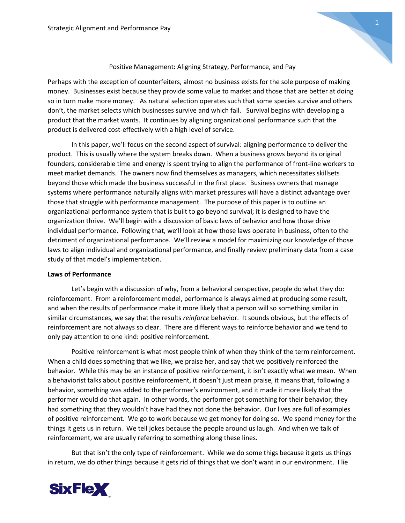

# Positive Management: Aligning Strategy, Performance, and Pay

Perhaps with the exception of counterfeiters, almost no business exists for the sole purpose of making money. Businesses exist because they provide some value to market and those that are better at doing so in turn make more money. As natural selection operates such that some species survive and others don't, the market selects which businesses survive and which fail. Survival begins with developing a product that the market wants. It continues by aligning organizational performance such that the product is delivered cost-effectively with a high level of service.

In this paper, we'll focus on the second aspect of survival: aligning performance to deliver the product. This is usually where the system breaks down. When a business grows beyond its original founders, considerable time and energy is spent trying to align the performance of front-line workers to meet market demands. The owners now find themselves as managers, which necessitates skillsets beyond those which made the business successful in the first place. Business owners that manage systems where performance naturally aligns with market pressures will have a distinct advantage over those that struggle with performance management. The purpose of this paper is to outline an organizational performance system that is built to go beyond survival; it is designed to have the organization thrive. We'll begin with a discussion of basic laws of behavior and how those drive individual performance. Following that, we'll look at how those laws operate in business, often to the detriment of organizational performance. We'll review a model for maximizing our knowledge of those laws to align individual and organizational performance, and finally review preliminary data from a case study of that model's implementation.

## **Laws of Performance**

Let's begin with a discussion of why, from a behavioral perspective, people do what they do: reinforcement. From a reinforcement model, performance is always aimed at producing some result, and when the results of performance make it more likely that a person will so something similar in similar circumstances, we say that the results *reinforce* behavior. It sounds obvious, but the effects of reinforcement are not always so clear. There are different ways to reinforce behavior and we tend to only pay attention to one kind: positive reinforcement.

Positive reinforcement is what most people think of when they think of the term reinforcement. When a child does something that we like, we praise her, and say that we positively reinforced the behavior. While this may be an instance of positive reinforcement, it isn't exactly what we mean. When a behaviorist talks about positive reinforcement, it doesn't just mean praise, it means that, following a behavior, something was added to the performer's environment, and it made it more likely that the performer would do that again. In other words, the performer got something for their behavior; they had something that they wouldn't have had they not done the behavior. Our lives are full of examples of positive reinforcement. We go to work because we get money for doing so. We spend money for the things it gets us in return. We tell jokes because the people around us laugh. And when we talk of reinforcement, we are usually referring to something along these lines.

But that isn't the only type of reinforcement. While we do some thigs because it gets us things in return, we do other things because it gets rid of things that we don't want in our environment. I lie

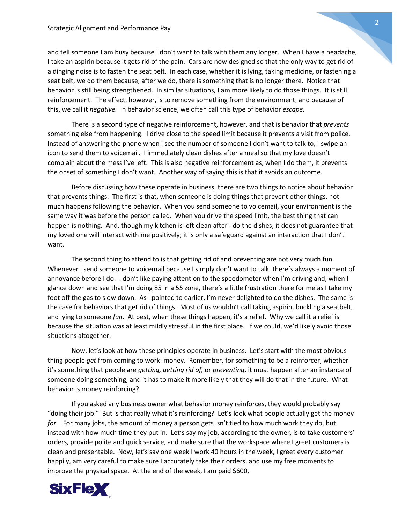and tell someone I am busy because I don't want to talk with them any longer. When I have a headache, I take an aspirin because it gets rid of the pain. Cars are now designed so that the only way to get rid of a dinging noise is to fasten the seat belt. In each case, whether it is lying, taking medicine, or fastening a seat belt, we do them because, after we do, there is something that is no longer there. Notice that behavior is still being strengthened. In similar situations, I am more likely to do those things. It is still reinforcement. The effect, however, is to remove something from the environment, and because of this, we call it *negative.* In behavior science, we often call this type of behavior *escape.* 

There is a second type of negative reinforcement, however, and that is behavior that *prevents* something else from happening. I drive close to the speed limit because it prevents a visit from police. Instead of answering the phone when I see the number of someone I don't want to talk to, I swipe an icon to send them to voicemail. I immediately clean dishes after a meal so that my love doesn't complain about the mess I've left. This is also negative reinforcement as, when I do them, it prevents the onset of something I don't want. Another way of saying this is that it avoids an outcome.

Before discussing how these operate in business, there are two things to notice about behavior that prevents things. The first is that, when someone is doing things that prevent other things, not much happens following the behavior. When you send someone to voicemail, your environment is the same way it was before the person called. When you drive the speed limit, the best thing that can happen is nothing. And, though my kitchen is left clean after I do the dishes, it does not guarantee that my loved one will interact with me positively; it is only a safeguard against an interaction that I don't want.

The second thing to attend to is that getting rid of and preventing are not very much fun. Whenever I send someone to voicemail because I simply don't want to talk, there's always a moment of annoyance before I do. I don't like paying attention to the speedometer when I'm driving and, when I glance down and see that I'm doing 85 in a 55 zone, there's a little frustration there for me as I take my foot off the gas to slow down. As I pointed to earlier, I'm never delighted to do the dishes. The same is the case for behaviors that get rid of things. Most of us wouldn't call taking aspirin, buckling a seatbelt, and lying to someone *fun*. At best, when these things happen, it's a relief. Why we call it a relief is because the situation was at least mildly stressful in the first place. If we could, we'd likely avoid those situations altogether.

Now, let's look at how these principles operate in business. Let's start with the most obvious thing people *get* from coming to work: money. Remember, for something to be a reinforcer, whether it's something that people are *getting, getting rid of,* or *preventing*, it must happen after an instance of someone doing something, and it has to make it more likely that they will do that in the future. What behavior is money reinforcing?

If you asked any business owner what behavior money reinforces, they would probably say "doing their job." But is that really what it's reinforcing? Let's look what people actually get the money *for*. For many jobs, the amount of money a person gets isn't tied to how much work they do, but instead with how much time they put in. Let's say my job, according to the owner, is to take customers' orders, provide polite and quick service, and make sure that the workspace where I greet customers is clean and presentable. Now, let's say one week I work 40 hours in the week, I greet every customer happily, am very careful to make sure I accurately take their orders, and use my free moments to improve the physical space. At the end of the week, I am paid \$600.

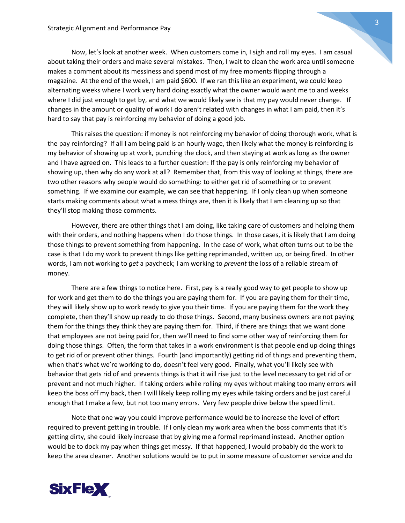Now, let's look at another week. When customers come in, I sigh and roll my eyes. I am casual about taking their orders and make several mistakes. Then, I wait to clean the work area until someone makes a comment about its messiness and spend most of my free moments flipping through a magazine. At the end of the week, I am paid \$600. If we ran this like an experiment, we could keep alternating weeks where I work very hard doing exactly what the owner would want me to and weeks where I did just enough to get by, and what we would likely see is that my pay would never change. If changes in the amount or quality of work I do aren't related with changes in what I am paid, then it's hard to say that pay is reinforcing my behavior of doing a good job.

This raises the question: if money is not reinforcing my behavior of doing thorough work, what is the pay reinforcing? If all I am being paid is an hourly wage, then likely what the money is reinforcing is my behavior of showing up at work, punching the clock, and then staying at work as long as the owner and I have agreed on. This leads to a further question: If the pay is only reinforcing my behavior of showing up, then why do any work at all? Remember that, from this way of looking at things, there are two other reasons why people would do something: to either get rid of something or to prevent something. If we examine our example, we can see that happening. If I only clean up when someone starts making comments about what a mess things are, then it is likely that I am cleaning up so that they'll stop making those comments.

However, there are other things that I am doing, like taking care of customers and helping them with their orders, and nothing happens when I do those things. In those cases, it is likely that I am doing those things to prevent something from happening. In the case of work, what often turns out to be the case is that I do my work to prevent things like getting reprimanded, written up, or being fired. In other words, I am not working to *get* a paycheck; I am working to *prevent* the loss of a reliable stream of money.

There are a few things to notice here. First, pay is a really good way to get people to show up for work and get them to do the things you are paying them for. If you are paying them for their time, they will likely show up to work ready to give you their time. If you are paying them for the work they complete, then they'll show up ready to do those things. Second, many business owners are not paying them for the things they think they are paying them for. Third, if there are things that we want done that employees are not being paid for, then we'll need to find some other way of reinforcing them for doing those things. Often, the form that takes in a work environment is that people end up doing things to get rid of or prevent other things. Fourth (and importantly) getting rid of things and preventing them, when that's what we're working to do, doesn't feel very good. Finally, what you'll likely see with behavior that gets rid of and prevents things is that it will rise just to the level necessary to get rid of or prevent and not much higher. If taking orders while rolling my eyes without making too many errors will keep the boss off my back, then I will likely keep rolling my eyes while taking orders and be just careful enough that I make a few, but not too many errors. Very few people drive below the speed limit.

Note that one way you could improve performance would be to increase the level of effort required to prevent getting in trouble. If I only clean my work area when the boss comments that it's getting dirty, she could likely increase that by giving me a formal reprimand instead. Another option would be to dock my pay when things get messy. If that happened, I would probably do the work to keep the area cleaner. Another solutions would be to put in some measure of customer service and do

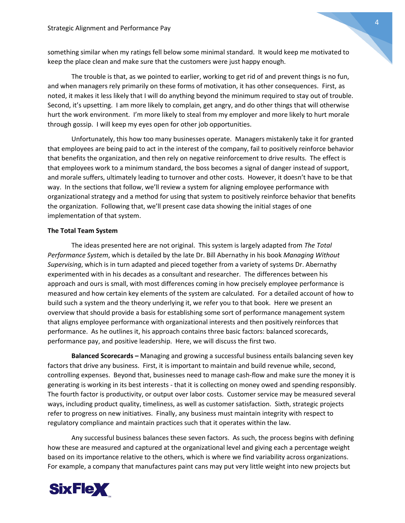something similar when my ratings fell below some minimal standard. It would keep me motivated to keep the place clean and make sure that the customers were just happy enough.

The trouble is that, as we pointed to earlier, working to get rid of and prevent things is no fun, and when managers rely primarily on these forms of motivation, it has other consequences. First, as noted, it makes it less likely that I will do anything beyond the minimum required to stay out of trouble. Second, it's upsetting. I am more likely to complain, get angry, and do other things that will otherwise hurt the work environment. I'm more likely to steal from my employer and more likely to hurt morale through gossip. I will keep my eyes open for other job opportunities.

Unfortunately, this how too many businesses operate. Managers mistakenly take it for granted that employees are being paid to act in the interest of the company, fail to positively reinforce behavior that benefits the organization, and then rely on negative reinforcement to drive results. The effect is that employees work to a minimum standard, the boss becomes a signal of danger instead of support, and morale suffers, ultimately leading to turnover and other costs. However, it doesn't have to be that way. In the sections that follow, we'll review a system for aligning employee performance with organizational strategy and a method for using that system to positively reinforce behavior that benefits the organization. Following that, we'll present case data showing the initial stages of one implementation of that system.

## **The Total Team System**

The ideas presented here are not original. This system is largely adapted from *The Total Performance System*, which is detailed by the late Dr. Bill Abernathy in his book *Managing Without Supervising*, which is in turn adapted and pieced together from a variety of systems Dr. Abernathy experimented with in his decades as a consultant and researcher.The differences between his approach and ours is small, with most differences coming in how precisely employee performance is measured and how certain key elements of the system are calculated. For a detailed account of how to build such a system and the theory underlying it, we refer you to that book. Here we present an overview that should provide a basis for establishing some sort of performance management system that aligns employee performance with organizational interests and then positively reinforces that performance. As he outlines it, his approach contains three basic factors: balanced scorecards, performance pay, and positive leadership. Here, we will discuss the first two.

**Balanced Scorecards –** Managing and growing a successful business entails balancing seven key factors that drive any business. First, it is important to maintain and build revenue while, second, controlling expenses. Beyond that, businesses need to manage cash-flow and make sure the money it is generating is working in its best interests - that it is collecting on money owed and spending responsibly. The fourth factor is productivity, or output over labor costs. Customer service may be measured several ways, including product quality, timeliness, as well as customer satisfaction. Sixth, strategic projects refer to progress on new initiatives. Finally, any business must maintain integrity with respect to regulatory compliance and maintain practices such that it operates within the law.

Any successful business balances these seven factors. As such, the process begins with defining how these are measured and captured at the organizational level and giving each a percentage weight based on its importance relative to the others, which is where we find variability across organizations. For example, a company that manufactures paint cans may put very little weight into new projects but

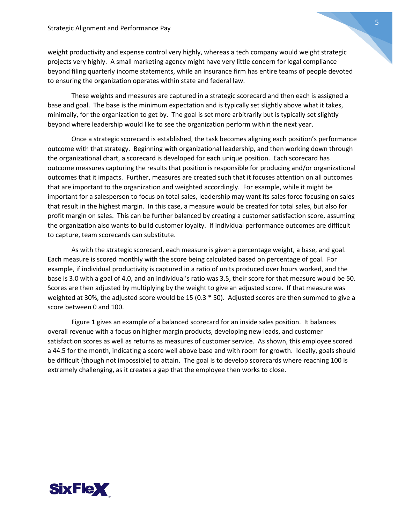weight productivity and expense control very highly, whereas a tech company would weight strategic projects very highly. A small marketing agency might have very little concern for legal compliance beyond filing quarterly income statements, while an insurance firm has entire teams of people devoted to ensuring the organization operates within state and federal law.

These weights and measures are captured in a strategic scorecard and then each is assigned a base and goal. The base is the minimum expectation and is typically set slightly above what it takes, minimally, for the organization to get by. The goal is set more arbitrarily but is typically set slightly beyond where leadership would like to see the organization perform within the next year.

Once a strategic scorecard is established, the task becomes aligning each position's performance outcome with that strategy. Beginning with organizational leadership, and then working down through the organizational chart, a scorecard is developed for each unique position. Each scorecard has outcome measures capturing the results that position is responsible for producing and/or organizational outcomes that it impacts. Further, measures are created such that it focuses attention on all outcomes that are important to the organization and weighted accordingly. For example, while it might be important for a salesperson to focus on total sales, leadership may want its sales force focusing on sales that result in the highest margin. In this case, a measure would be created for total sales, but also for profit margin on sales. This can be further balanced by creating a customer satisfaction score, assuming the organization also wants to build customer loyalty. If individual performance outcomes are difficult to capture, team scorecards can substitute.

As with the strategic scorecard, each measure is given a percentage weight, a base, and goal. Each measure is scored monthly with the score being calculated based on percentage of goal. For example, if individual productivity is captured in a ratio of units produced over hours worked, and the base is 3.0 with a goal of 4.0, and an individual's ratio was 3.5, their score for that measure would be 50. Scores are then adjusted by multiplying by the weight to give an adjusted score. If that measure was weighted at 30%, the adjusted score would be 15 (0.3 \* 50). Adjusted scores are then summed to give a score between 0 and 100.

Figure 1 gives an example of a balanced scorecard for an inside sales position. It balances overall revenue with a focus on higher margin products, developing new leads, and customer satisfaction scores as well as returns as measures of customer service. As shown, this employee scored a 44.5 for the month, indicating a score well above base and with room for growth. Ideally, goals should be difficult (though not impossible) to attain. The goal is to develop scorecards where reaching 100 is extremely challenging, as it creates a gap that the employee then works to close.

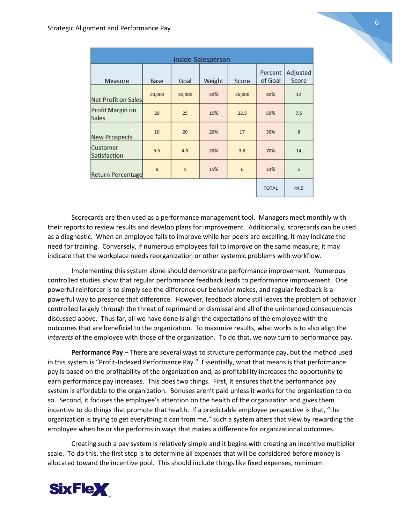| <b>Inside Salesperson</b>        |        |        |        |                 |                    |                   |  |
|----------------------------------|--------|--------|--------|-----------------|--------------------|-------------------|--|
| Measure                          | Base   | Goal   | Weight | Score           | Percent<br>of Goal | Adjusted<br>Score |  |
| Net Profit on Sales              | 20,000 | 30,000 | 30%    | 26,000          | 40%                | 12                |  |
| Profit Margin on<br><b>Sales</b> | 20     | 25     | 15%    | 22.5            | 50%                | 7.5               |  |
| <b>New Prospects</b>             | 10     | 20     | 20%    | 17              | 30%                | $6\overline{6}$   |  |
| Customer<br>Satisfaction         | 3.5    | 4.5    | 20%    | 3.8             | 70%                | 14                |  |
| <b>Return Percentage</b>         | 8      | 5      | 15%    | $6\overline{6}$ | 33%                | 5                 |  |
|                                  |        |        |        |                 | <b>TOTAL</b>       | 44.5              |  |

Scorecards are then used as a performance management tool. Managers meet monthly with their reports to review results and develop plans for improvement. Additionally, scorecards can be used as a diagnostic. When an employee fails to improve while her peers are excelling, it may indicate the need for training. Conversely, if numerous employees fail to improve on the same measure, it may indicate that the workplace needs reorganization or other systemic problems with workflow.

Implementing this system alone should demonstrate performance improvement. Numerous controlled studies show that regular performance feedback leads to performance improvement. One powerful reinforcer is to simply see the difference our behavior makes, and regular feedback is a powerful way to presence that difference. However, feedback alone still leaves the problem of behavior controlled largely through the threat of reprimand or dismissal and all of the unintended consequences discussed above. Thus far, all we have done is align the expectations of the employee with the outcomes that are beneficial to the organization. To maximize results, what works is to also align the *interests* of the employee with those of the organization. To do that, we now turn to performance pay.

**Performance Pay** – There are several ways to structure performance pay, but the method used in this system is "Profit-Indexed Performance Pay." Essentially, what that means is that performance pay is based on the profitability of the organization and, as profitability increases the opportunity to earn performance pay increases. This does two things. First, it ensures that the performance pay system is affordable to the organization. Bonuses aren't paid unless it works for the organization to do so. Second, it focuses the employee's attention on the health of the organization and gives them incentive to do things that promote that health. If a predictable employee perspective is that, "the organization is trying to get everything it can from me," such a system alters that view by rewarding the employee when he or she performs in ways that makes a difference for organizational outcomes.

Creating such a pay system is relatively simple and it begins with creating an incentive multiplier scale. To do this, the first step is to determine all expenses that will be considered before money is allocated toward the incentive pool. This should include things like fixed expenses, minimum

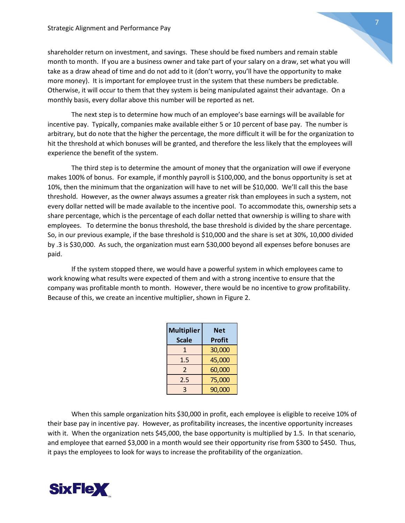shareholder return on investment, and savings. These should be fixed numbers and remain stable month to month. If you are a business owner and take part of your salary on a draw, set what you will take as a draw ahead of time and do not add to it (don't worry, you'll have the opportunity to make more money). It is important for employee trust in the system that these numbers be predictable. Otherwise, it will occur to them that they system is being manipulated against their advantage. On a monthly basis, every dollar above this number will be reported as net.

The next step is to determine how much of an employee's base earnings will be available for incentive pay. Typically, companies make available either 5 or 10 percent of base pay. The number is arbitrary, but do note that the higher the percentage, the more difficult it will be for the organization to hit the threshold at which bonuses will be granted, and therefore the less likely that the employees will experience the benefit of the system.

The third step is to determine the amount of money that the organization will owe if everyone makes 100% of bonus. For example, if monthly payroll is \$100,000, and the bonus opportunity is set at 10%, then the minimum that the organization will have to net will be \$10,000. We'll call this the base threshold. However, as the owner always assumes a greater risk than employees in such a system, not every dollar netted will be made available to the incentive pool. To accommodate this, ownership sets a share percentage, which is the percentage of each dollar netted that ownership is willing to share with employees. To determine the bonus threshold, the base threshold is divided by the share percentage. So, in our previous example, if the base threshold is \$10,000 and the share is set at 30%, 10,000 divided by .3 is \$30,000. As such, the organization must earn \$30,000 beyond all expenses before bonuses are paid.

If the system stopped there, we would have a powerful system in which employees came to work knowing what results were expected of them and with a strong incentive to ensure that the company was profitable month to month. However, there would be no incentive to grow profitability. Because of this, we create an incentive multiplier, shown in Figure 2.

| <b>Multiplier</b> | Net           |  |  |
|-------------------|---------------|--|--|
| <b>Scale</b>      | <b>Profit</b> |  |  |
| 1                 | 30,000        |  |  |
| $1.5\,$           | 45,000        |  |  |
| $\mathcal{P}$     | 60,000        |  |  |
| 2.5               | 75,000        |  |  |
| 3                 | 90,000        |  |  |

When this sample organization hits \$30,000 in profit, each employee is eligible to receive 10% of their base pay in incentive pay. However, as profitability increases, the incentive opportunity increases with it. When the organization nets \$45,000, the base opportunity is multiplied by 1.5. In that scenario, and employee that earned \$3,000 in a month would see their opportunity rise from \$300 to \$450. Thus, it pays the employees to look for ways to increase the profitability of the organization.

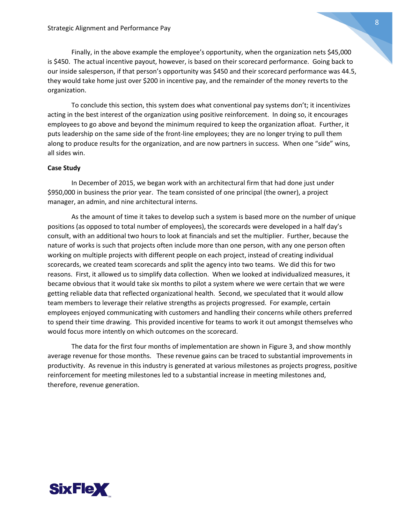Finally, in the above example the employee's opportunity, when the organization nets \$45,000 is \$450. The actual incentive payout, however, is based on their scorecard performance. Going back to our inside salesperson, if that person's opportunity was \$450 and their scorecard performance was 44.5, they would take home just over \$200 in incentive pay, and the remainder of the money reverts to the organization.

To conclude this section, this system does what conventional pay systems don't; it incentivizes acting in the best interest of the organization using positive reinforcement. In doing so, it encourages employees to go above and beyond the minimum required to keep the organization afloat. Further, it puts leadership on the same side of the front-line employees; they are no longer trying to pull them along to produce results for the organization, and are now partners in success. When one "side" wins, all sides win.

## **Case Study**

In December of 2015, we began work with an architectural firm that had done just under \$950,000 in business the prior year. The team consisted of one principal (the owner), a project manager, an admin, and nine architectural interns.

As the amount of time it takes to develop such a system is based more on the number of unique positions (as opposed to total number of employees), the scorecards were developed in a half day's consult, with an additional two hours to look at financials and set the multiplier. Further, because the nature of works is such that projects often include more than one person, with any one person often working on multiple projects with different people on each project, instead of creating individual scorecards, we created team scorecards and split the agency into two teams. We did this for two reasons. First, it allowed us to simplify data collection. When we looked at individualized measures, it became obvious that it would take six months to pilot a system where we were certain that we were getting reliable data that reflected organizational health. Second, we speculated that it would allow team members to leverage their relative strengths as projects progressed. For example, certain employees enjoyed communicating with customers and handling their concerns while others preferred to spend their time drawing. This provided incentive for teams to work it out amongst themselves who would focus more intently on which outcomes on the scorecard.

The data for the first four months of implementation are shown in Figure 3, and show monthly average revenue for those months. These revenue gains can be traced to substantial improvements in productivity. As revenue in this industry is generated at various milestones as projects progress, positive reinforcement for meeting milestones led to a substantial increase in meeting milestones and, therefore, revenue generation.